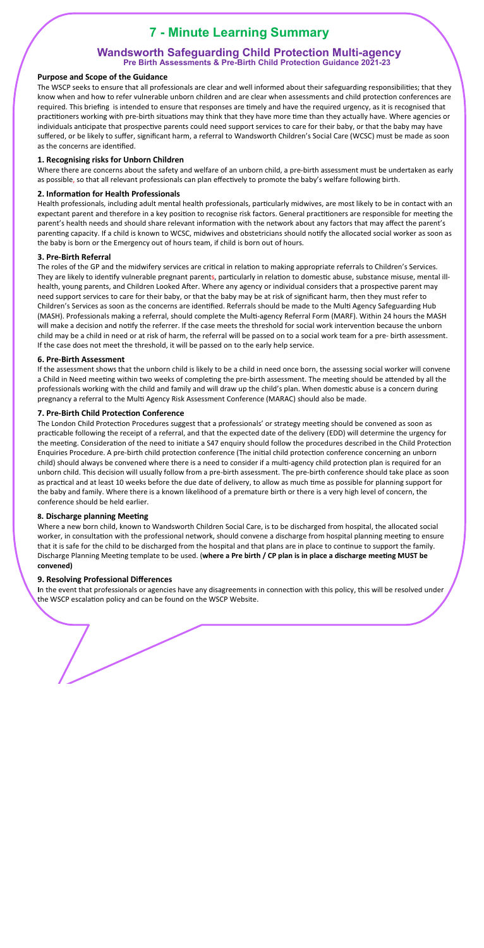# **7 - Minute Learning Summary**

# **Wandsworth Safeguarding Child Protection Multi-agency Pre Birth Assessments & Pre-Birth Child Protection Guidance 2021-23**

#### **Purpose and Scope of the Guidance**

The WSCP seeks to ensure that all professionals are clear and well informed about their safeguarding responsibilities; that they know when and how to refer vulnerable unborn children and are clear when assessments and child protection conferences are required. This briefing is intended to ensure that responses are timely and have the required urgency, as it is recognised that practitioners working with pre-birth situations may think that they have more time than they actually have. Where agencies or individuals anticipate that prospective parents could need support services to care for their baby, or that the baby may have suffered, or be likely to suffer, significant harm, a referral to Wandsworth Children's Social Care (WCSC) must be made as soon as the concerns are identified.

Where there are concerns about the safety and welfare of an unborn child, a pre-birth assessment must be undertaken as early as possible, so that all relevant professionals can plan effectively to promote the baby's welfare following birth.

#### **2. Information for Health Professionals**

Health professionals, including adult mental health professionals, particularly midwives, are most likely to be in contact with an expectant parent and therefore in a key position to recognise risk factors. General practitioners are responsible for meeting the parent's health needs and should share relevant information with the network about any factors that may affect the parent's parenting capacity. If a child is known to WCSC, midwives and obstetricians should notify the allocated social worker as soon as the baby is born or the Emergency out of hours team, if child is born out of hours.

### **1. Recognising risks for Unborn Children**

The roles of the GP and the midwifery services are critical in relation to making appropriate referrals to Children's Services. They are likely to identify vulnerable pregnant parents, particularly in relation to domestic abuse, substance misuse, mental illhealth, young parents, and Children Looked After. Where any agency or individual considers that a prospective parent may need support services to care for their baby, or that the baby may be at risk of significant harm, then they must refer to Children's Services as soon as the concerns are identified. Referrals should be made to the Multi Agency Safeguarding Hub (MASH). Professionals making a referral, should complete the Multi-agency Referral Form (MARF). Within 24 hours the MASH will make a decision and notify the referrer. If the case meets the threshold for social work intervention because the unborn child may be a child in need or at risk of harm, the referral will be passed on to a social work team for a pre- birth assessment. If the case does not meet the threshold, it will be passed on to the early help service.

If the assessment shows that the unborn child is likely to be a child in need once born, the assessing social worker will convene a Child in Need meeting within two weeks of completing the pre-birth assessment. The meeting should be attended by all the professionals working with the child and family and will draw up the child's plan. When domestic abuse is a concern during pregnancy a referral to the Multi Agency Risk Assessment Conference (MARAC) should also be made.

#### **7. Pre-Birth Child Protection Conference**

#### **3. Pre-Birth Referral**

The London Child Protection Procedures suggest that a professionals' or strategy meeting should be convened as soon as practicable following the receipt of a referral, and that the expected date of the delivery (EDD) will determine the urgency for the meeting. Consideration of the need to initiate a S47 enquiry should follow the procedures described in the Child Protection Enquiries Procedure. A pre-birth child protection conference (The initial child protection conference concerning an unborn child) should always be convened where there is a need to consider if a multi-agency child protection plan is required for an unborn child. This decision will usually follow from a pre-birth assessment. The pre-birth conference should take place as soon as practical and at least 10 weeks before the due date of delivery, to allow as much time as possible for planning support for the baby and family. Where there is a known likelihood of a premature birth or there is a very high level of concern, the conference should be held earlier.

#### **8. Discharge planning Meeting**

#### **6. Pre-Birth Assessment**

Where a new born child, known to Wandsworth Children Social Care, is to be discharged from hospital, the allocated social worker, in consultation with the professional network, should convene a discharge from hospital planning meeting to ensure that it is safe for the child to be discharged from the hospital and that plans are in place to continue to support the family. Discharge Planning Meeting template to be used. (where a Pre birth / CP plan is in place a discharge meeting MUST be **convened)** 

#### **9. Resolving Professional Differences**

In the event that professionals or agencies have any disagreements in connection with this policy, this will be resolved under the WSCP escalation policy and can be found on the WSCP Website.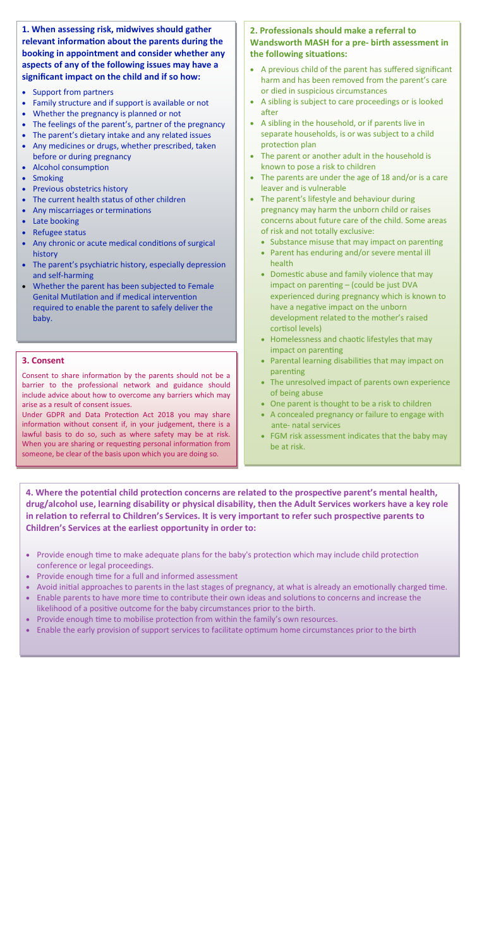4. Where the potential child protection concerns are related to the prospective parent's mental health, **drug/alcohol use, learning disability or physical disability, then the Adult Services workers have a key role**  in relation to referral to Children's Services. It is very important to refer such prospective parents to **Children's Services at the earliest opportunity in order to:** 

- Provide enough time to make adequate plans for the baby's protection which may include child protection conference or legal proceedings.
- Provide enough time for a full and informed assessment
- Avoid initial approaches to parents in the last stages of pregnancy, at what is already an emotionally charged time.
- Enable parents to have more time to contribute their own ideas and solutions to concerns and increase the likelihood of a positive outcome for the baby circumstances prior to the birth.
- Provide enough time to mobilise protection from within the family's own resources.
- Enable the early provision of support services to facilitate optimum home circumstances prior to the birth

- Support from partners
- Family structure and if support is available or not
- Whether the pregnancy is planned or not
- The feelings of the parent's, partner of the pregnancy
- The parent's dietary intake and any related issues
- Any medicines or drugs, whether prescribed, taken before or during pregnancy
- Alcohol consumption
- Smoking
- Previous obstetrics history
- The current health status of other children
- Any miscarriages or terminations
- Late booking
- Refugee status
- Any chronic or acute medical conditions of surgical history
- The parent's psychiatric history, especially depression and self-harming
- Whether the parent has been subjected to Female Genital Mutilation and if medical intervention required to enable the parent to safely deliver the baby.

## **2. Professionals should make a referral to Wandsworth MASH for a pre- birth assessment in**  the following situations:

**1. When assessing risk, midwives should gather**  relevant information about the parents during the **booking in appointment and consider whether any aspects of any of the following issues may have a significant impact on the child and if so how:** 

Consent to share information by the parents should not be a barrier to the professional network and guidance should include advice about how to overcome any barriers which may arise as a result of consent issues.

Under GDPR and Data Protection Act 2018 you may share information without consent if, in your judgement, there is a lawful basis to do so, such as where safety may be at risk. When you are sharing or requesting personal information from someone, be clear of the basis upon which you are doing so.

- A previous child of the parent has suffered significant harm and has been removed from the parent's care or died in suspicious circumstances
- A sibling is subject to care proceedings or is looked after
- A sibling in the household, or if parents live in separate households, is or was subject to a child protection plan
- The parent or another adult in the household is known to pose a risk to children
- The parents are under the age of 18 and/or is a care leaver and is vulnerable
- The parent's lifestyle and behaviour during pregnancy may harm the unborn child or raises concerns about future care of the child. Some areas of risk and not totally exclusive:
	- Substance misuse that may impact on parenting
	- Parent has enduring and/or severe mental ill health
	- $\bullet$  Domestic abuse and family violence that may impact on parenting  $-$  (could be just DVA experienced during pregnancy which is known to have a negative impact on the unborn development related to the mother's raised cortisol levels)
	- $\bullet$  Homelessness and chaotic lifestyles that may impact on parenting
	- Parental learning disabilities that may impact on parenting
	- The unresolved impact of parents own experience of being abuse
	- One parent is thought to be a risk to children
	- A concealed pregnancy or failure to engage with ante- natal services
	- FGM risk assessment indicates that the baby may be at risk.

#### **3. Consent**